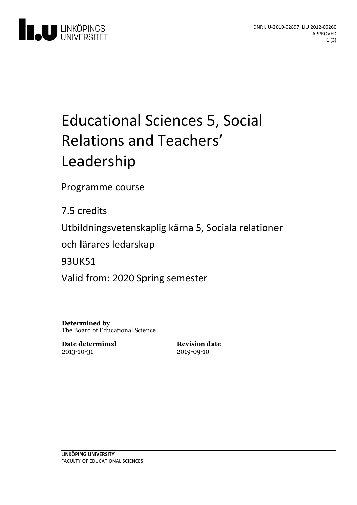

# Educational Sciences 5, Social Relations and Teachers' Leadership

Programme course

7.5 credits

Utbildningsvetenskaplig kärna 5, Sociala relationer

och lärares ledarskap

93UK51

Valid from: 2020 Spring semester

**Determined by** The Board of Educational Science

**Date determined** 2013-10-31

**Revision date** 2019-09-10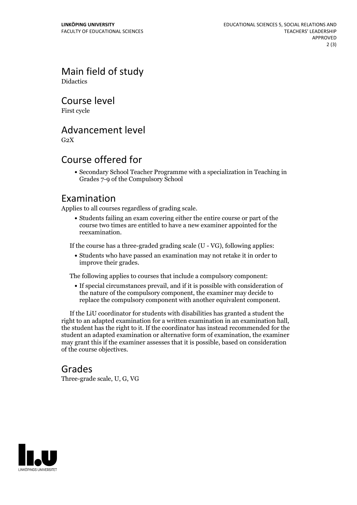Main field of study **Didactics** 

Course level

First cycle

## Advancement level

 $G<sub>2</sub>X$ 

## Course offered for

Secondary School Teacher Programme with a specialization in Teaching in Grades 7-9 of the Compulsory School

#### Examination

Applies to all courses regardless of grading scale.

Students failing an exam covering either the entire course or part of the course two times are entitled to have a new examiner appointed for the reexamination.

If the course has a three-graded grading scale (U - VG), following applies:

Students who have passed an examination may not retake it in order to improve their grades.

The following applies to courses that include a compulsory component:

If special circumstances prevail, and if it is possible with consideration of the nature of the compulsory component, the examiner may decide to replace the compulsory component with another equivalent component.

If the LiU coordinator for students with disabilities has granted a student the right to an adapted examination for <sup>a</sup> written examination in an examination hall, the student has the right to it. If the coordinator has instead recommended for the student an adapted examination or alternative form of examination, the examiner may grant this if the examiner assesses that it is possible, based on consideration of the course objectives.

#### Grades

Three-grade scale, U, G, VG